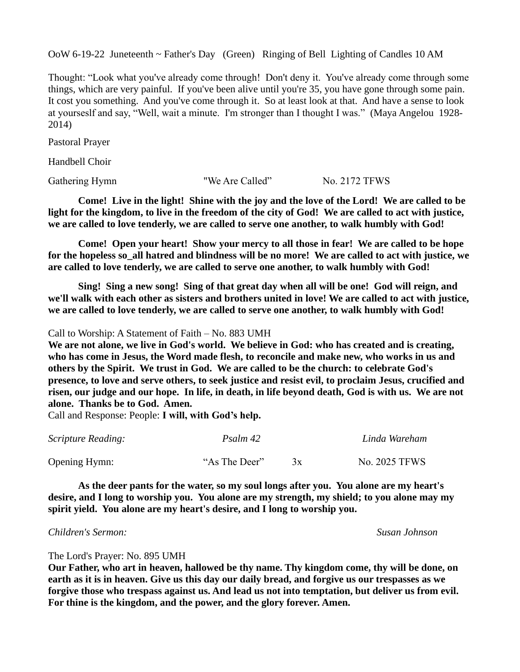OoW 6-19-22 Juneteenth ~ Father's Day (Green) Ringing of Bell Lighting of Candles 10 AM

Thought: "Look what you've already come through! Don't deny it. You've already come through some things, which are very painful. If you've been alive until you're 35, you have gone through some pain. It cost you something. And you've come through it. So at least look at that. And have a sense to look at yourseslf and say, "Well, wait a minute. I'm stronger than I thought I was." (Maya Angelou 1928- 2014)

Pastoral Prayer

Handbell Choir

Gathering Hymn "We Are Called" No. 2172 TFWS

**Come! Live in the light! Shine with the joy and the love of the Lord! We are called to be light for the kingdom, to live in the freedom of the city of God! We are called to act with justice, we are called to love tenderly, we are called to serve one another, to walk humbly with God!**

**Come! Open your heart! Show your mercy to all those in fear! We are called to be hope for the hopeless so\_all hatred and blindness will be no more! We are called to act with justice, we are called to love tenderly, we are called to serve one another, to walk humbly with God!**

**Sing! Sing a new song! Sing of that great day when all will be one! God will reign, and we'll walk with each other as sisters and brothers united in love! We are called to act with justice, we are called to love tenderly, we are called to serve one another, to walk humbly with God!**

Call to Worship: A Statement of Faith – No. 883 UMH

**We are not alone, we live in God's world. We believe in God: who has created and is creating, who has come in Jesus, the Word made flesh, to reconcile and make new, who works in us and others by the Spirit. We trust in God. We are called to be the church: to celebrate God's presence, to love and serve others, to seek justice and resist evil, to proclaim Jesus, crucified and risen, our judge and our hope. In life, in death, in life beyond death, God is with us. We are not alone. Thanks be to God. Amen.**

Call and Response: People: **I will, with God's help.**

| <i>Scripture Reading:</i> | Psalm 42      |  | Linda Wareham |  |
|---------------------------|---------------|--|---------------|--|
| Opening Hymn:             | "As The Deer" |  | No. 2025 TFWS |  |

**As the deer pants for the water, so my soul longs after you. You alone are my heart's desire, and I long to worship you. You alone are my strength, my shield; to you alone may my spirit yield. You alone are my heart's desire, and I long to worship you.** 

*Children's Sermon: Susan Johnson*

The Lord's Prayer: No. 895 UMH

**Our Father, who art in heaven, hallowed be thy name. Thy kingdom come, thy will be done, on earth as it is in heaven. Give us this day our daily bread, and forgive us our trespasses as we forgive those who trespass against us. And lead us not into temptation, but deliver us from evil. For thine is the kingdom, and the power, and the glory forever. Amen.**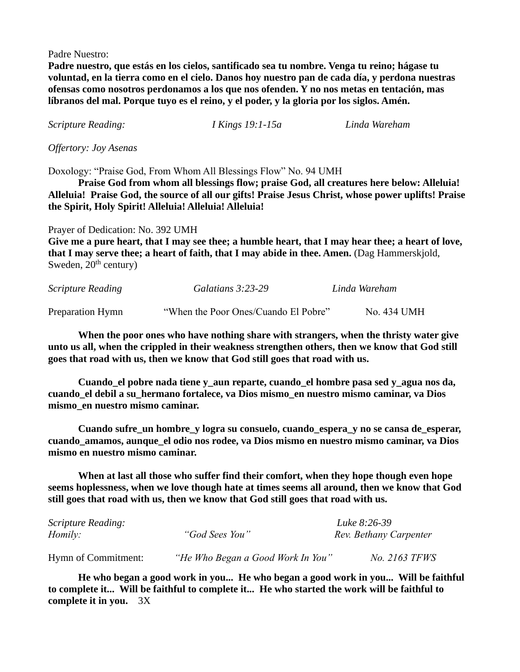Padre Nuestro:

**Padre nuestro, que estás en los cielos, santificado sea tu nombre. Venga tu reino; hágase tu voluntad, en la tierra como en el cielo. Danos hoy nuestro pan de cada día, y perdona nuestras ofensas como nosotros perdonamos a los que nos ofenden. Y no nos metas en tentación, mas líbranos del mal. Porque tuyo es el reino, y el poder, y la gloria por los siglos. Amén.**

| <b>Scripture Reading:</b> | <i>I Kings 19:1-15a</i> | Linda Wareham |
|---------------------------|-------------------------|---------------|
|                           |                         |               |

*Offertory: Joy Asenas*

Doxology: "Praise God, From Whom All Blessings Flow" No. 94 UMH

**Praise God from whom all blessings flow; praise God, all creatures here below: Alleluia! Alleluia! Praise God, the source of all our gifts! Praise Jesus Christ, whose power uplifts! Praise the Spirit, Holy Spirit! Alleluia! Alleluia! Alleluia!**

Prayer of Dedication: No. 392 UMH

**Give me a pure heart, that I may see thee; a humble heart, that I may hear thee; a heart of love, that I may serve thee; a heart of faith, that I may abide in thee. Amen.** (Dag Hammerskjold, Sweden,  $20<sup>th</sup>$  century)

| <i>Scripture Reading</i> | Galatians 3:23-29                    | Linda Wareham |
|--------------------------|--------------------------------------|---------------|
| Preparation Hymn         | "When the Poor Ones/Cuando El Pobre" | No. 434 UMH   |

**When the poor ones who have nothing share with strangers, when the thristy water give unto us all, when the crippled in their weakness strengthen others, then we know that God still goes that road with us, then we know that God still goes that road with us.**

**Cuando\_el pobre nada tiene y\_aun reparte, cuando\_el hombre pasa sed y\_agua nos da, cuando\_el debil a su\_hermano fortalece, va Dios mismo\_en nuestro mismo caminar, va Dios mismo\_en nuestro mismo caminar.**

**Cuando sufre\_un hombre\_y logra su consuelo, cuando\_espera\_y no se cansa de\_esperar, cuando\_amamos, aunque\_el odio nos rodee, va Dios mismo en nuestro mismo caminar, va Dios mismo en nuestro mismo caminar.**

**When at last all those who suffer find their comfort, when they hope though even hope seems hoplessness, when we love though hate at times seems all around, then we know that God still goes that road with us, then we know that God still goes that road with us.**

| <i>Scripture Reading:</i> |                                   | Luke 8:26-39           |  |
|---------------------------|-----------------------------------|------------------------|--|
| Homily:                   | "God Sees You"                    | Rev. Bethany Carpenter |  |
| Hymn of Commitment:       | "He Who Began a Good Work In You" | No. 2163 TFWS          |  |

**He who began a good work in you... He who began a good work in you... Will be faithful to complete it... Will be faithful to complete it... He who started the work will be faithful to complete it in you.** 3X